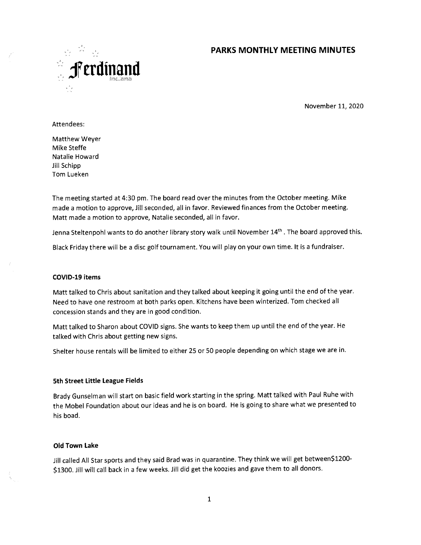# **PARKS MONTHLY MEETING MINUTES**



November 11, 2020

#### Attendees:

Matthew Weyer Mike Steffe Natalie Howard Jill Schipp Tom Lueken

The meeting started at 4:30 pm. The board read over the minutes from the October meeting. Mike made a motion to approve, Jill seconded, all in favor. Reviewed finances from the October meeting. Matt made a motion to approve, Natalie seconded, all in favor.

Jenna Steltenpohl wants to do another library story walk until November 14<sup>th</sup>. The board approved this.

Black Friday there will be a disc golf tournament. You will play on your own time. lt is a fundraiser.

### **COVID-19 items**

Matt talked to Chris about sanitation and they talked about keeping it going until the end of the year. Need to have one restroom at both parks open. Kitchens have been winterized. Tom checked all concession stands and they are in good condition.

Matt talked to Sharon about COVID signs. She wants to keep them up until the end of the year. He talked with Chris about getting new signs.

Shelter house rentals will be limited to either 25 or 50 people depending on which stage we are in.

### **5th Street Little League Fields**

Brady Gunselman will start on basic field work starting in the spring. Matt talked with Paul Ruhe with the Mobel Foundation about our ideas and he is on board. He is going to share what we presented to his boad.

### **Old Town Lake**

Jill called All Star sports and they said Brad was in quarantine. They think we will get between\$1200- \$1300. Jill will call back in a few weeks. Jill did get the koozies and gave them to all donors.